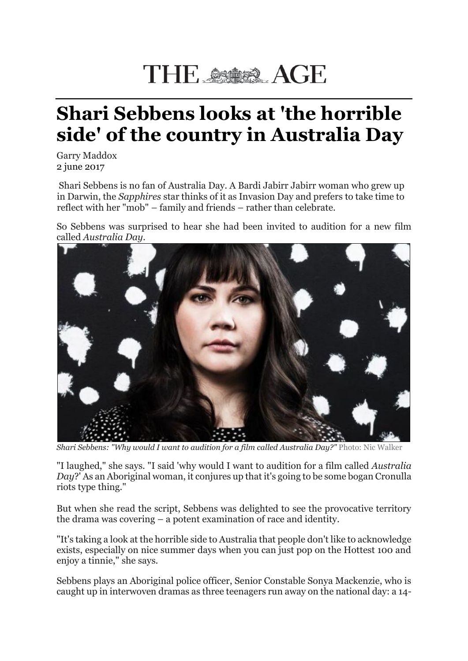## THE SSARA AGE

## **Shari Sebbens looks at 'the horrible side' of the country in Australia Day**

Garry Maddox 2 june 2017

Shari Sebbens is no fan of Australia Day. A Bardi Jabirr Jabirr woman who grew up in Darwin, the *Sapphires* star thinks of it as Invasion Day and prefers to take time to reflect with her "mob" – family and friends – rather than celebrate.

So Sebbens was surprised to hear she had been invited to audition for a new film called *Australia Day*.



*Shari Sebbens: "Why would I want to audition for a film called Australia Day?"* Photo: Nic Walker

"I laughed," she says. "I said 'why would I want to audition for a film called *Australia Day*?' As an Aboriginal woman, it conjures up that it's going to be some bogan Cronulla riots type thing."

But when she read the script, Sebbens was delighted to see the provocative territory the drama was covering – a potent examination of race and identity.

"It's taking a look at the horrible side to Australia that people don't like to acknowledge exists, especially on nice summer days when you can just pop on the Hottest 100 and enjoy a tinnie," she says.

Sebbens plays an Aboriginal police officer, Senior Constable Sonya Mackenzie, who is caught up in interwoven dramas as three teenagers run away on the national day: a 14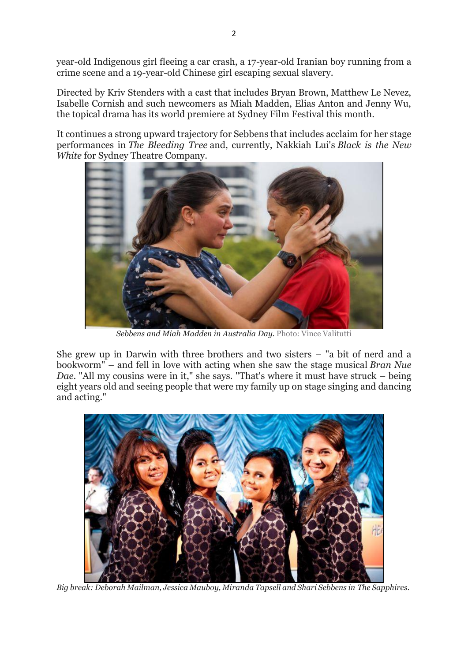year-old Indigenous girl fleeing a car crash, a 17-year-old Iranian boy running from a crime scene and a 19-year-old Chinese girl escaping sexual slavery.

Directed by Kriv Stenders with a cast that includes Bryan Brown, Matthew Le Nevez, Isabelle Cornish and such newcomers as Miah Madden, Elias Anton and Jenny Wu, the topical drama has its world premiere at Sydney Film Festival this month.

It continues a strong upward trajectory for Sebbens that includes acclaim for her stage performances in *The Bleeding Tree* and, currently, Nakkiah Lui's *Black is the New White* for Sydney Theatre Company.



*Sebbens and Miah Madden in Australia Day.* Photo: Vince Valitutti

She grew up in Darwin with three brothers and two sisters – "a bit of nerd and a bookworm" – and fell in love with acting when she saw the stage musical *Bran Nue Dae*. "All my cousins were in it," she says. "That's where it must have struck – being eight years old and seeing people that were my family up on stage singing and dancing and acting."



*Big break: Deborah Mailman, Jessica Mauboy, Miranda Tapsell and Shari Sebbens in The Sapphires.*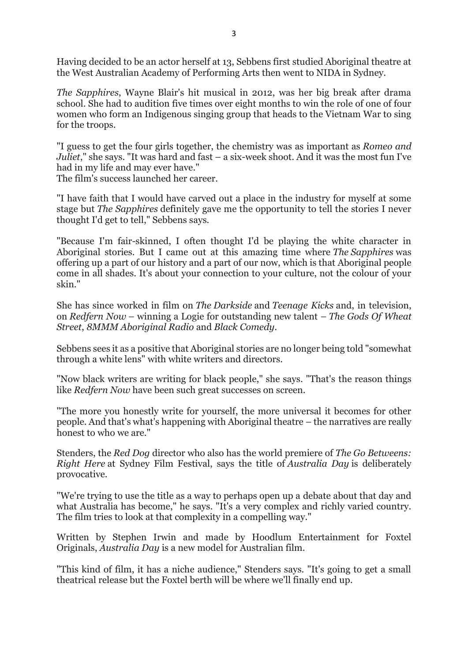Having decided to be an actor herself at 13, Sebbens first studied Aboriginal theatre at the West Australian Academy of Performing Arts then went to NIDA in Sydney.

*The Sapphires*, Wayne Blair's hit musical in 2012, was her big break after drama school. She had to audition five times over eight months to win the role of one of four women who form an Indigenous singing group that heads to the Vietnam War to sing for the troops.

"I guess to get the four girls together, the chemistry was as important as *Romeo and Juliet*," she says. "It was hard and fast – a six-week shoot. And it was the most fun I've had in my life and may ever have."

The film's success launched her career.

"I have faith that I would have carved out a place in the industry for myself at some stage but *The Sapphires* definitely gave me the opportunity to tell the stories I never thought I'd get to tell," Sebbens says.

"Because I'm fair-skinned, I often thought I'd be playing the white character in Aboriginal stories. But I came out at this amazing time where *The Sapphires* was offering up a part of our history and a part of our now, which is that Aboriginal people come in all shades. It's about your connection to your culture, not the colour of your skin."

She has since worked in film on *The Darkside* and *Teenage Kicks* and, in television, on *Redfern Now* – winning a Logie for outstanding new talent – *The Gods Of Wheat Street*, *8MMM Aboriginal Radio* and *Black Comedy*.

Sebbens sees it as a positive that Aboriginal stories are no longer being told "somewhat through a white lens" with white writers and directors.

"Now black writers are writing for black people," she says. "That's the reason things like *Redfern Now* have been such great successes on screen.

"The more you honestly write for yourself, the more universal it becomes for other people. And that's what's happening with Aboriginal theatre – the narratives are really honest to who we are."

Stenders, the *Red Dog* director who also has the world premiere of *The Go Betweens: Right Here* at Sydney Film Festival, says the title of *Australia Day* is deliberately provocative.

"We're trying to use the title as a way to perhaps open up a debate about that day and what Australia has become," he says. "It's a very complex and richly varied country. The film tries to look at that complexity in a compelling way."

Written by Stephen Irwin and made by Hoodlum Entertainment for Foxtel Originals, *Australia Day* is a new model for Australian film.

"This kind of film, it has a niche audience," Stenders says. "It's going to get a small theatrical release but the Foxtel berth will be where we'll finally end up.